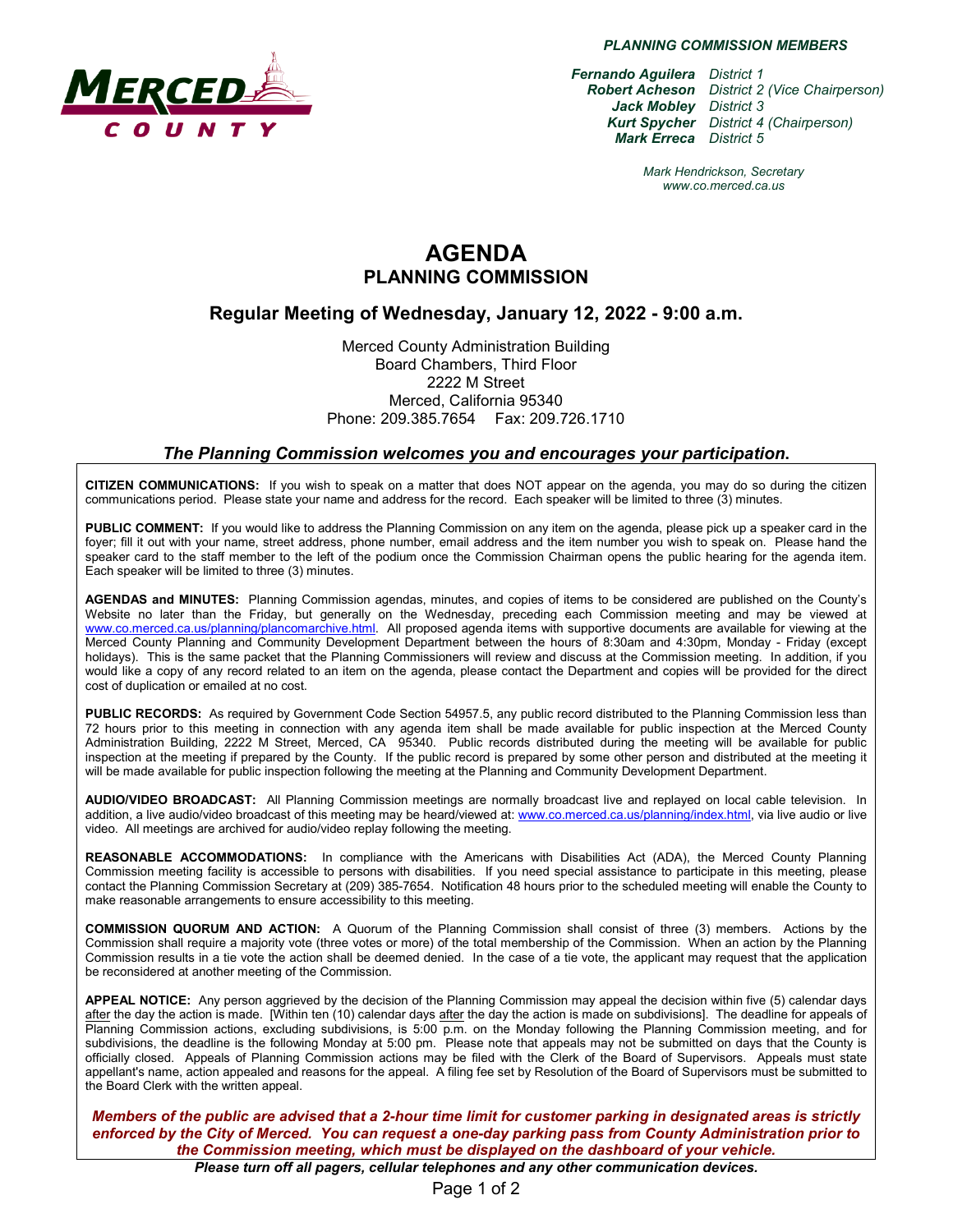

*PLANNING COMMISSION MEMBERS*

*Fernando Aguilera District 1 Robert Acheson District 2 (Vice Chairperson) Jack Mobley District 3 Kurt Spycher District 4 (Chairperson) Mark Erreca District 5*

> *Mark Hendrickson, Secretary www.co.merced.ca.us*

# **AGENDA PLANNING COMMISSION**

### **Regular Meeting of Wednesday, January 12, 2022 - 9:00 a.m.**

Merced County Administration Building Board Chambers, Third Floor 2222 M Street Merced, California 95340 Phone: 209.385.7654 Fax: 209.726.1710

#### *The Planning Commission welcomes you and encourages your participation***.**

**CITIZEN COMMUNICATIONS:** If you wish to speak on a matter that does NOT appear on the agenda, you may do so during the citizen communications period. Please state your name and address for the record. Each speaker will be limited to three (3) minutes.

**PUBLIC COMMENT:** If you would like to address the Planning Commission on any item on the agenda, please pick up a speaker card in the foyer; fill it out with your name, street address, phone number, email address and the item number you wish to speak on. Please hand the speaker card to the staff member to the left of the podium once the Commission Chairman opens the public hearing for the agenda item. Each speaker will be limited to three (3) minutes.

**AGENDAS and MINUTES:** Planning Commission agendas, minutes, and copies of items to be considered are published on the County's Website no later than the Friday, but generally on the Wednesday, preceding each Commission meeting and may be viewed at [www.co.merced.ca.us/planning/plancomarchive.html.](http://www.co.merced.ca.us/planning/plancomarchive.html) All proposed agenda items with supportive documents are available for viewing at the Merced County Planning and Community Development Department between the hours of 8:30am and 4:30pm, Monday - Friday (except holidays). This is the same packet that the Planning Commissioners will review and discuss at the Commission meeting. In addition, if you would like a copy of any record related to an item on the agenda, please contact the Department and copies will be provided for the direct cost of duplication or emailed at no cost.

**PUBLIC RECORDS:** As required by Government Code Section 54957.5, any public record distributed to the Planning Commission less than 72 hours prior to this meeting in connection with any agenda item shall be made available for public inspection at the Merced County Administration Building, 2222 M Street, Merced, CA 95340. Public records distributed during the meeting will be available for public inspection at the meeting if prepared by the County. If the public record is prepared by some other person and distributed at the meeting it will be made available for public inspection following the meeting at the Planning and Community Development Department.

**AUDIO/VIDEO BROADCAST:** All Planning Commission meetings are normally broadcast live and replayed on local cable television. In addition, a live audio/video broadcast of this meeting may be heard/viewed at: [www.co.merced.ca.us/planning/index.html,](http://www.co.merced.ca.us/planning/index.html) via live audio or live video. All meetings are archived for audio/video replay following the meeting.

**REASONABLE ACCOMMODATIONS:** In compliance with the Americans with Disabilities Act (ADA), the Merced County Planning Commission meeting facility is accessible to persons with disabilities. If you need special assistance to participate in this meeting, please contact the Planning Commission Secretary at (209) 385-7654. Notification 48 hours prior to the scheduled meeting will enable the County to make reasonable arrangements to ensure accessibility to this meeting.

**COMMISSION QUORUM AND ACTION:** A Quorum of the Planning Commission shall consist of three (3) members. Actions by the Commission shall require a majority vote (three votes or more) of the total membership of the Commission. When an action by the Planning Commission results in a tie vote the action shall be deemed denied. In the case of a tie vote, the applicant may request that the application be reconsidered at another meeting of the Commission.

**APPEAL NOTICE:** Any person aggrieved by the decision of the Planning Commission may appeal the decision within five (5) calendar days after the day the action is made. [Within ten (10) calendar days after the day the action is made on subdivisions]. The deadline for appeals of Planning Commission actions, excluding subdivisions, is 5:00 p.m. on the Monday following the Planning Commission meeting, and for subdivisions, the deadline is the following Monday at 5:00 pm. Please note that appeals may not be submitted on days that the County is officially closed. Appeals of Planning Commission actions may be filed with the Clerk of the Board of Supervisors. Appeals must state appellant's name, action appealed and reasons for the appeal. A filing fee set by Resolution of the Board of Supervisors must be submitted to the Board Clerk with the written appeal.

*Members of the public are advised that a 2-hour time limit for customer parking in designated areas is strictly enforced by the City of Merced. You can request a one-day parking pass from County Administration prior to the Commission meeting, which must be displayed on the dashboard of your vehicle.*

*Please turn off all pagers, cellular telephones and any other communication devices.*